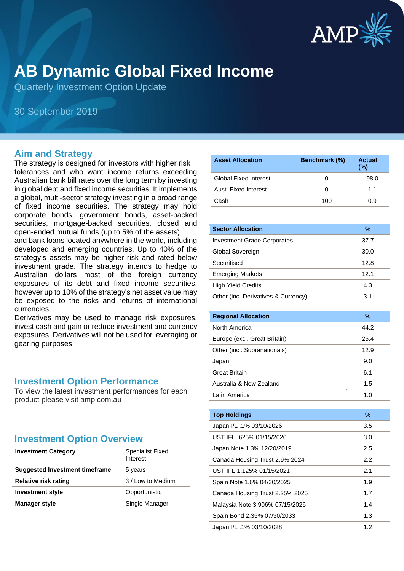

# **AB Dynamic Global Fixed Income**

Quarterly Investment Option Update

30 September 2019

#### **Aim and Strategy**

The strategy is designed for investors with higher risk tolerances and who want income returns exceeding Australian bank bill rates over the long term by investing in global debt and fixed income securities. It implements a global, multi-sector strategy investing in a broad range of fixed income securities. The strategy may hold corporate bonds, government bonds, asset-backed securities, mortgage-backed securities, closed and open-ended mutual funds (up to 5% of the assets)

and bank loans located anywhere in the world, including developed and emerging countries. Up to 40% of the strategy's assets may be higher risk and rated below investment grade. The strategy intends to hedge to Australian dollars most of the foreign currency exposures of its debt and fixed income securities, however up to 10% of the strategy's net asset value may be exposed to the risks and returns of international currencies.

Derivatives may be used to manage risk exposures, invest cash and gain or reduce investment and currency exposures. Derivatives will not be used for leveraging or gearing purposes.

#### **Investment Option Performance**

To view the latest investment performances for each product please visit amp.com.au

### **Investment Option Overview**

| <b>Investment Category</b>            | <b>Specialist Fixed</b><br>Interest |
|---------------------------------------|-------------------------------------|
| <b>Suggested Investment timeframe</b> | 5 years                             |
| <b>Relative risk rating</b>           | 3 / Low to Medium                   |
| <b>Investment style</b>               | Opportunistic                       |
| Manager style                         | Single Manager                      |

| <b>Asset Allocation</b>      | <b>Benchmark (%)</b> | Actual<br>$(\% )$ |
|------------------------------|----------------------|-------------------|
| <b>Global Fixed Interest</b> | $\mathbf{0}$         | 98.0              |
| Aust. Fixed Interest         | O                    | 11                |
| Cash                         | 100                  | 0.9               |

| <b>Sector Allocation</b>            | $\%$ |
|-------------------------------------|------|
| <b>Investment Grade Corporates</b>  | 37.7 |
| Global Sovereign                    | 30.0 |
| Securitised                         | 12.8 |
| <b>Emerging Markets</b>             | 12.1 |
| <b>High Yield Credits</b>           | 4.3  |
| Other (inc. Derivatives & Currency) | 3.1  |

| <b>Regional Allocation</b>   | %     |
|------------------------------|-------|
| North America                | 44.2  |
| Europe (excl. Great Britain) | 25.4  |
| Other (incl. Supranationals) | 12.9  |
| Japan                        | 9.0   |
| <b>Great Britain</b>         | 6.1   |
| Australia & New Zealand      | 1.5   |
| Latin America                | 1.(1) |

| <b>Top Holdings</b>             | %   |
|---------------------------------|-----|
| Japan I/L .1% 03/10/2026        | 3.5 |
| UST IFL .625% 01/15/2026        | 3.0 |
| Japan Note 1.3% 12/20/2019      | 2.5 |
| Canada Housing Trust 2.9% 2024  | 2.2 |
| UST IFL 1.125% 01/15/2021       | 2.1 |
| Spain Note 1.6% 04/30/2025      | 1.9 |
| Canada Housing Trust 2.25% 2025 | 1.7 |
| Malaysia Note 3.906% 07/15/2026 | 1.4 |
| Spain Bond 2.35% 07/30/2033     | 1.3 |
| Japan I/L .1% 03/10/2028        | 1.2 |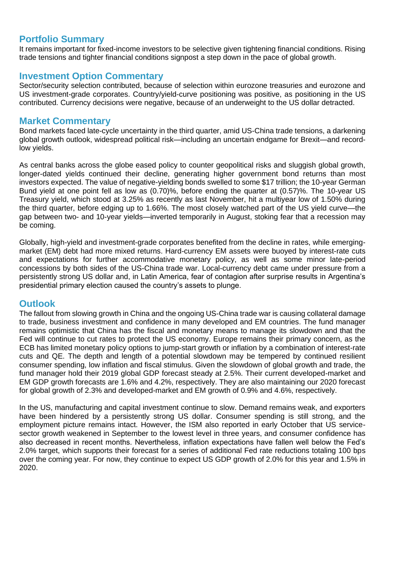#### **Portfolio Summary**

It remains important for fixed-income investors to be selective given tightening financial conditions. Rising trade tensions and tighter financial conditions signpost a step down in the pace of global growth.

#### **Investment Option Commentary**

Sector/security selection contributed, because of selection within eurozone treasuries and eurozone and US investment-grade corporates. Country/yield-curve positioning was positive, as positioning in the US contributed. Currency decisions were negative, because of an underweight to the US dollar detracted.

#### **Market Commentary**

Bond markets faced late-cycle uncertainty in the third quarter, amid US-China trade tensions, a darkening global growth outlook, widespread political risk—including an uncertain endgame for Brexit—and recordlow yields.

As central banks across the globe eased policy to counter geopolitical risks and sluggish global growth, longer-dated yields continued their decline, generating higher government bond returns than most investors expected. The value of negative-yielding bonds swelled to some \$17 trillion; the 10-year German Bund yield at one point fell as low as (0.70)%, before ending the quarter at (0.57)%. The 10-year US Treasury yield, which stood at 3.25% as recently as last November, hit a multiyear low of 1.50% during the third quarter, before edging up to 1.66%. The most closely watched part of the US yield curve—the gap between two- and 10-year yields—inverted temporarily in August, stoking fear that a recession may be coming.

Globally, high-yield and investment-grade corporates benefited from the decline in rates, while emergingmarket (EM) debt had more mixed returns. Hard-currency EM assets were buoyed by interest-rate cuts and expectations for further accommodative monetary policy, as well as some minor late-period concessions by both sides of the US-China trade war. Local-currency debt came under pressure from a persistently strong US dollar and, in Latin America, fear of contagion after surprise results in Argentina's presidential primary election caused the country's assets to plunge.

### **Outlook**

The fallout from slowing growth in China and the ongoing US-China trade war is causing collateral damage to trade, business investment and confidence in many developed and EM countries. The fund manager remains optimistic that China has the fiscal and monetary means to manage its slowdown and that the Fed will continue to cut rates to protect the US economy. Europe remains their primary concern, as the ECB has limited monetary policy options to jump-start growth or inflation by a combination of interest-rate cuts and QE. The depth and length of a potential slowdown may be tempered by continued resilient consumer spending, low inflation and fiscal stimulus. Given the slowdown of global growth and trade, the fund manager hold their 2019 global GDP forecast steady at 2.5%. Their current developed-market and EM GDP growth forecasts are 1.6% and 4.2%, respectively. They are also maintaining our 2020 forecast for global growth of 2.3% and developed-market and EM growth of 0.9% and 4.6%, respectively.

In the US, manufacturing and capital investment continue to slow. Demand remains weak, and exporters have been hindered by a persistently strong US dollar. Consumer spending is still strong, and the employment picture remains intact. However, the ISM also reported in early October that US servicesector growth weakened in September to the lowest level in three years, and consumer confidence has also decreased in recent months. Nevertheless, inflation expectations have fallen well below the Fed's 2.0% target, which supports their forecast for a series of additional Fed rate reductions totaling 100 bps over the coming year. For now, they continue to expect US GDP growth of 2.0% for this year and 1.5% in 2020.